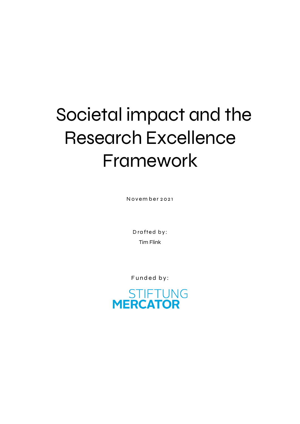# Societal impact and the Research Excellence Framework

**November 2021**

**Drafted by:**  Tim Flink

**Funded by:**

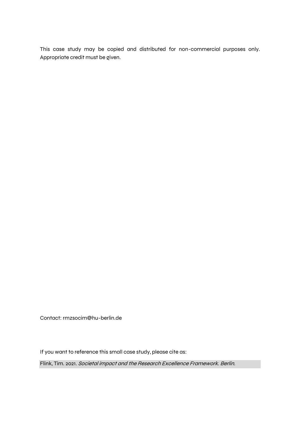This case study may be copied and distributed for non-commercial purposes only. Appropriate credit must be given.

Contact: rmzsocim@hu-berlin.de

If you want to reference this small case study, please cite as:

Flink, Tim. 2021. Societal impact and the Research Excellence Framework. Berlin.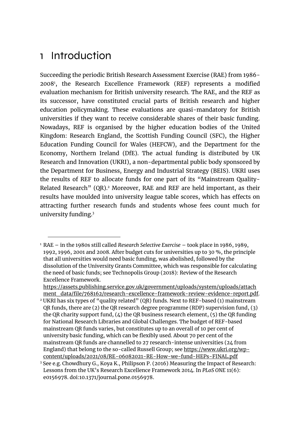## 1 Introduction

1

Succeeding the periodic British Research Assessment Exercise (RAE) from 1986- 2008<sup>1</sup> , the Research Excellence Framework (REF) represents a modified evaluation mechanism for British university research. The RAE, and the REF as its successor, have constituted crucial parts of British research and higher education policymaking. These evaluations are quasi-mandatory for British universities if they want to receive considerable shares of their basic funding. Nowadays, REF is organised by the higher education bodies of the United Kingdom: Research England, the Scottish Funding Council (SFC), the Higher Education Funding Council for Wales (HEFCW), and the Department for the Economy, Northern Ireland (DfE). The actual funding is distributed by UK Research and Innovation (UKRI), a non-departmental public body sponsored by the Department for Business, Energy and Industrial Strategy (BEIS). UKRI uses the results of REF to allocate funds for one part of its "Mainstream Quality-Related Research" (QR). <sup>2</sup> Moreover, RAE and REF are held important, as their results have moulded into university league table scores, which has effects on attracting further research funds and students whose fees count much for university funding.<sup>3</sup>

[https://assets.publishing.service.gov.uk/government/uploads/system/uploads/attach](https://assets.publishing.service.gov.uk/government/uploads/system/uploads/attachment_data/file/768162/research-excellence-framework-review-evidence-report.pdf) [ment\\_data/file/768162/research-excellence-framework-review-evidence-report.pdf.](https://assets.publishing.service.gov.uk/government/uploads/system/uploads/attachment_data/file/768162/research-excellence-framework-review-evidence-report.pdf)

<sup>1</sup> RAE – in the 1980s still called *Research Selective Exercise* – took place in 1986, 1989, 1992, 1996, 2001 and 2008. After budget cuts for universities up to 30 %, the principle that all universities would need basic funding, was abolished, followed by the dissolution of the University Grants Committee, which was responsible for calculating the need of basic funds; see Technopolis Group (2018): Review of the Research Excellence Framework.

<sup>2</sup> UKRI has six types of "quality related" (QR) funds. Next to REF-based (1) mainstream QR funds, there are (2) the QR research degree programme (RDP) supervision fund, (3) the QR charity support fund,  $(4)$  the QR business research element,  $(5)$  the QR funding for National Research Libraries and Global Challenges. The budget of REF-based mainstream QR funds varies, but constitutes up to an overall of 10 per cent of university basic funding, which can be flexibly used. About 70 per cent of the mainstream QR funds are channelled to 27 research-intense universities (24 from England) that belong to the so-called Russell Group; see [https://www.ukri.org/wp](https://www.ukri.org/wp-content/uploads/2021/08/RE-06082021-RE-How-we-fund-HEPs-FINAL.pdf)[content/uploads/2021/08/RE-06082021-RE-How-we-fund-HEPs-FINAL.pdf](https://www.ukri.org/wp-content/uploads/2021/08/RE-06082021-RE-How-we-fund-HEPs-FINAL.pdf)

<sup>3</sup> See e.g. Chowdhury G., Koya K., Philipson P. (2016) Measuring the Impact of Research: Lessons from the UK's Research Excellence Framework 2014. In *PLoS ONE* 11(6): e0156978. doi:10.1371/journal.pone.0156978.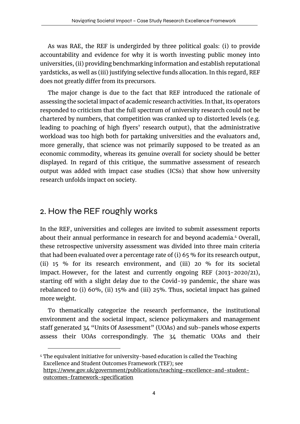As was RAE, the REF is undergirded by three political goals: (i) to provide accountability and evidence for why it is worth investing public money into universities, (ii) providing benchmarking information and establish reputational yardsticks, as well as (iii) justifying selective funds allocation. In this regard, REF does not greatly differ from its precursors.

The major change is due to the fact that REF introduced the rationale of assessing the societal impact of academic research activities. In that, its operators responded to criticism that the full spectrum of university research could not be chartered by numbers, that competition was cranked up to distorted levels (e.g. leading to poaching of high flyers' research output), that the administrative workload was too high both for partaking universities and the evaluators and, more generally, that science was not primarily supposed to be treated as an economic commodity, whereas its genuine overall for society should be better displayed. In regard of this critique, the summative assessment of research output was added with impact case studies (ICSs) that show how university research unfolds impact on society.

#### 2. How the REF roughly works

1

In the REF, universities and colleges are invited to submit assessment reports about their annual performance in research for and beyond academia.<sup>4</sup> Overall, these retrospective university assessment was divided into three main criteria that had been evaluated over a percentage rate of (i) 65 % for its research output, (ii) 15 % for its research environment, and (iii) 20 % for its societal impact. However, for the latest and currently ongoing REF (2013-2020/21), starting off with a slight delay due to the Covid-19 pandemic, the share was rebalanced to (i) 60%, (ii) 15% and (iii) 25%. Thus, societal impact has gained more weight.

To thematically categorize the research performance, the institutional environment and the societal impact, science policymakers and management staff generated 34 "Units Of Assessment" (UOAs) and sub-panels whose experts assess their UOAs correspondingly. The 34 thematic UOAs and their

<sup>4</sup> The equivalent initiative for university-based education is called the Teaching Excellence and Student Outcomes Framework (TEF); see [https://www.gov.uk/government/publications/teaching-excellence-and-student](https://www.gov.uk/government/publications/teaching-excellence-and-student-outcomes-framework-specification)[outcomes-framework-specification](https://www.gov.uk/government/publications/teaching-excellence-and-student-outcomes-framework-specification)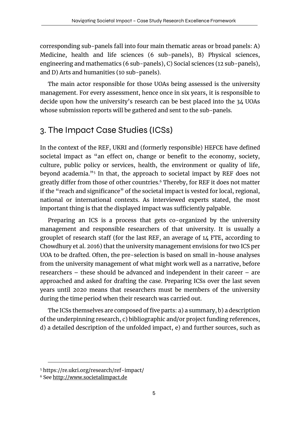corresponding sub-panels fall into four main thematic areas or broad panels: A) Medicine, health and life sciences (6 sub-panels), B) Physical sciences, engineering and mathematics (6 sub-panels), C) Social sciences (12 sub-panels), and D) Arts and humanities (10 sub-panels).

The main actor responsible for those UOAs being assessed is the university management. For every assessment, hence once in six years, it is responsible to decide upon how the university's research can be best placed into the 34 UOAs whose submission reports will be gathered and sent to the sub-panels.

#### 3. The Impact Case Studies (ICSs)

In the context of the REF, UKRI and (formerly responsible) HEFCE have defined societal impact as "an effect on, change or benefit to the economy, society, culture, public policy or services, health, the environment or quality of life, beyond academia." 5 In that, the approach to societal impact by REF does not greatly differ from those of other countries.<sup>6</sup> Thereby, for REF it does not matter if the "reach and significance" of the societal impact is vested for local, regional, national or international contexts. As interviewed experts stated, the most important thing is that the displayed impact was sufficiently palpable.

Preparing an ICS is a process that gets co-organized by the university management and responsible researchers of that university. It is usually a grouplet of research staff (for the last REF, an average of 14 FTE, according to Chowdhury et al. 2016) that the university management envisions for two ICS per UOA to be drafted. Often, the pre-selection is based on small in-house analyses from the university management of what might work well as a narrative, before researchers – these should be advanced and independent in their career – are approached and asked for drafting the case. Preparing ICSs over the last seven years until 2020 means that researchers must be members of the university during the time period when their research was carried out.

The ICSs themselves are composed of five parts: a) a summary, b) a description of the underpinning research, c) bibliographic and/or project funding references, d) a detailed description of the unfolded impact, e) and further sources, such as

1

<sup>5</sup> https://re.ukri.org/research/ref-impact/

<sup>6</sup> See [http://www.societalimpact.de](http://www.societalimpact.de/)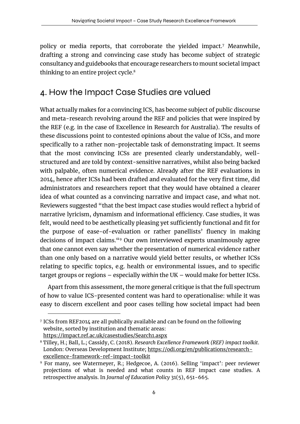policy or media reports, that corroborate the yielded impact.<sup>7</sup> Meanwhile, drafting a strong and convincing case study has become subject of strategic consultancy and guidebooks that encourage researchers to mount societal impact thinking to an entire project cycle. 8

#### 4. How the Impact Case Studies are valued

What actually makes for a convincing ICS, has become subject of public discourse and meta-research revolving around the REF and policies that were inspired by the REF (e.g. in the case of Excellence in Research for Australia). The results of these discussions point to contested opinions about the value of ICSs, and more specifically to a rather non-projectable task of demonstrating impact. It seems that the most convincing ICSs are presented clearly understandably, wellstructured and are told by context-sensitive narratives, whilst also being backed with palpable, often numerical evidence. Already after the REF evaluations in 2014, hence after ICSs had been drafted and evaluated for the very first time, did administrators and researchers report that they would have obtained a clearer idea of what counted as a convincing narrative and impact case, and what not. Reviewers suggested "that the best impact case studies would reflect a hybrid of narrative lyricism, dynamism and informational efficiency. Case studies, it was felt, would need to be aesthetically pleasing yet sufficiently functional and fit for the purpose of ease-of-evaluation or rather panellists' fluency in making decisions of impact claims. "<sup>9</sup> Our own interviewed experts unanimously agree that one cannot even say whether the presentation of numerical evidence rather than one only based on a narrative would yield better results, or whether ICSs relating to specific topics, e.g. health or environmental issues, and to specific target groups or regions – especially *within* the UK – would make for better ICSs.

Apart from this assessment, the more general critique is that the full spectrum of how to value ICS-presented content was hard to operationalise: while it was easy to discern excellent and poor cases telling how societal impact had been

1

<sup>7</sup> ICSs from REF2014 are all publically available and can be found on the following website, sorted by institution and thematic areas: <https://impact.ref.ac.uk/casestudies/Search1.aspx>

<sup>8</sup> Tilley, H.; Ball, L.; Cassidy, C. (2018). *Research Excellence Framework (REF) impact toolkit*. London: Overseas Development Institute; [https://odi.org/en/publications/research](https://odi.org/en/publications/research-excellence-framework-ref-impact-toolkit)[excellence-framework-ref-impact-toolkit](https://odi.org/en/publications/research-excellence-framework-ref-impact-toolkit)

<sup>9</sup> For many, see Watermeyer, R.; Hedgecoe, A. (2016). Selling 'impact': peer reviewer projections of what is needed and what counts in REF impact case studies. A retrospective analysis. In *Journal of Education Policy* 31(5), 651-665.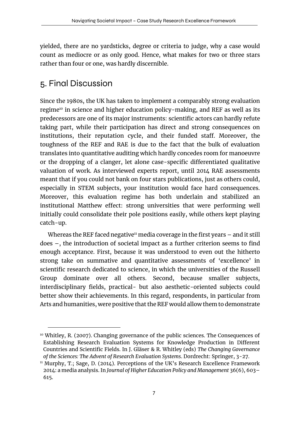yielded, there are no yardsticks, degree or criteria to judge, why a case would count as mediocre or as only good. Hence, what makes for two or three stars rather than four or one, was hardly discernible.

### 5. Final Discussion

 $\overline{a}$ 

Since the 1980s, the UK has taken to implement a comparably strong evaluation regime<sup>10</sup> in science and higher education policy-making, and REF as well as its predecessors are one of its major instruments: scientific actors can hardly refute taking part, while their participation has direct and strong consequences on institutions, their reputation cycle, and their funded staff. Moreover, the toughness of the REF and RAE is due to the fact that the bulk of evaluation translates into quantitative auditing which hardly concedes room for manoeuvre or the dropping of a clanger, let alone case-specific differentiated qualitative valuation of work. As interviewed experts report, until 2014 RAE assessments meant that if you could not bank on four stars publications, just as others could, especially in STEM subjects, your institution would face hard consequences. Moreover, this evaluation regime has both underlain and stabilized an institutional Matthew effect: strong universities that were performing well initially could consolidate their pole positions easily, while others kept playing catch-up.

Whereas the REF faced negative<sup>11</sup> media coverage in the first years  $-$  and it still does –, the introduction of societal impact as a further criterion seems to find enough acceptance. First, because it was understood to even out the hitherto strong take on summative and quantitative assessments of 'excellence' in scientific research dedicated to science, in which the universities of the Russell Group dominate over all others. Second, because smaller subjects, interdisciplinary fields, practical- but also aesthetic-oriented subjects could better show their achievements. In this regard, respondents, in particular from Arts and humanities, were positive that the REF would allow them to demonstrate

<sup>&</sup>lt;sup>10</sup> Whitley, R. (2007). Changing governance of the public sciences. The Consequences of Establishing Research Evaluation Systems for Knowledge Production in Different Countries and Scientific Fields. In J. Gläser & R. Whitley (eds) *The Changing Governance of the Sciences: The Advent of Research Evaluation Systems*. Dordrecht: Springer, 3-27.

<sup>&</sup>lt;sup>11</sup> Murphy, T.; Sage, D. (2014). Perceptions of the UK's Research Excellence Framework 2014: a media analysis. In *Journal of Higher Education Policy and Management* 36(6), 603– 615.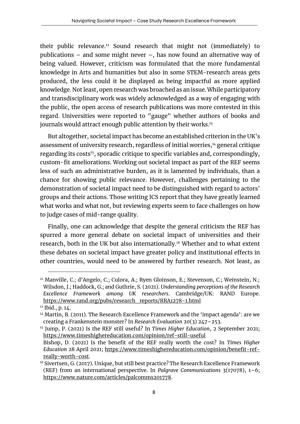their public relevance.<sup>12</sup> Sound research that might not (immediately) to publications – and some might never –, has now found an alternative way of being valued. However, criticism was formulated that the more fundamental knowledge in Arts and humanities but also in some STEM-research areas gets produced, the less could it be displayed as being impactful as more applied knowledge. Not least, open research was broached as an issue. While participatory and transdisciplinary work was widely acknowledged as a way of engaging with the public, the open access of research publications was more contested in this regard. Universities were reported to "gauge" whether authors of books and journals would attract enough public attention by their works.<sup>13</sup>

But altogether, societal impact has become an established criterion in the UK's assessment of university research, regardless of initial worries, <sup>14</sup> general critique regarding its costs<sup>15</sup>, sporadic critique to specific variables and, correspondingly, custom-fit ameliorations. Working out societal impact as part of the REF seems less of such an administrative burden, as it is lamented by individuals, than a chance for showing public relevance. However, challenges pertaining to the demonstration of societal impact need to be distinguished with regard to actors' groups and their actions. Those writing ICS report that they have greatly learned what works and what not, but reviewing experts seem to face challenges on how to judge cases of mid-range quality.

Finally, one can acknowledge that despite the general criticism the REF has spurred a more general debate on societal impact of universities and their research, both in the UK but also internationally.<sup>16</sup> Whether and to what extent these debates on societal impact have greater policy and institutional effects in other countries, would need to be answered by further research. Not least, as

 $\overline{a}$ 

<sup>&</sup>lt;sup>12</sup> Manville, C.; d'Angelo, C.; Culora, A.; Ryen Gloinson, E.; Stevenson, C.; Weinstein, N.; Wilsdon, J.; Haddock, G.; and Guthrie, S. (2021). *Understanding perceptions of the Research Excellence Framework among UK researchers*. Cambridge/UK: RAND Europe. [https://www.rand.org/pubs/research\\_reports/RRA1278-1.html](https://www.rand.org/pubs/research_reports/RRA1278-1.html) 

<sup>13</sup> Ibid., p. 14.

 $14$  Martin, B. (2011). The Research Excellence Framework and the 'impact agenda': are we creating a Frankenstein monster? In *Research Evaluation* 20(3) 247–253.

<sup>15</sup> Jump, P. (2021) Is the REF still useful? In *Times Higher Education*, 2 September 2021; <https://www.timeshighereducation.com/opinion/ref-still-useful>

Bishop, D. (2021) Is the benefit of the REF really worth the cost? In *Times Higher Education* 28 April 2021; [https://www.timeshighereducation.com/opinion/benefit-ref](https://www.timeshighereducation.com/opinion/benefit-ref-really-worth-cost)[really-worth-cost.](https://www.timeshighereducation.com/opinion/benefit-ref-really-worth-cost)

<sup>&</sup>lt;sup>16</sup> Sivertsen, G. (2017). Unique, but still best practice? The Research Excellence Framework (REF) from an international perspective. In *Palgrave Communications* 3(17078), 1–6; [https://www.nature.com/articles/palcomms201778.](https://www.nature.com/articles/palcomms201778)